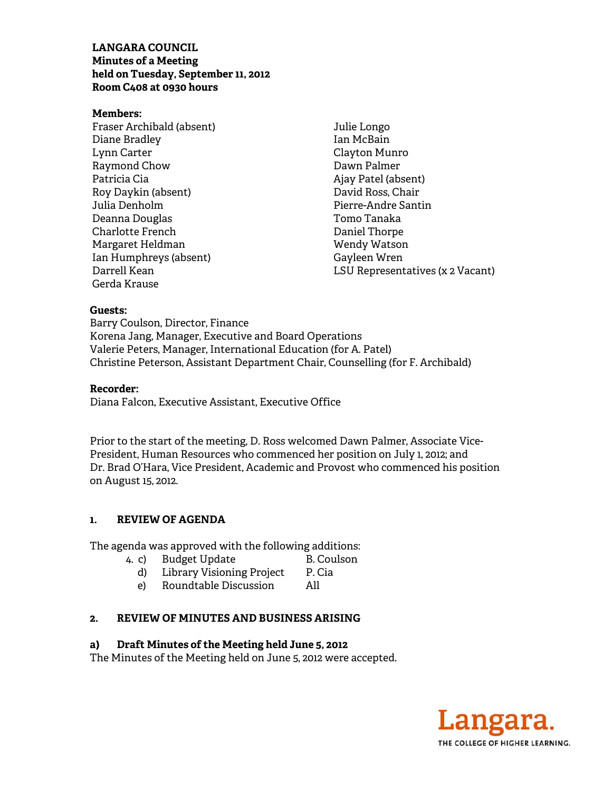### **LANGARA COUNCIL Minutes of a Meeting held on Tuesday, September 11, 2012 Room C408 at 0930 hours**

#### **Members:**

Fraser Archibald (absent) Diane Bradley Lynn Carter Raymond Chow Patricia Cia Roy Daykin (absent) Julia Denholm Deanna Douglas Charlotte French Margaret Heldman Ian Humphreys (absent) Darrell Kean Gerda Krause

Julie Longo Ian McBain Clayton Munro Dawn Palmer Ajay Patel (absent) David Ross, Chair Pierre-Andre Santin Tomo Tanaka Daniel Thorpe Wendy Watson Gayleen Wren LSU Representatives (x 2 Vacant)

#### **Guests:**

Barry Coulson, Director, Finance Korena Jang, Manager, Executive and Board Operations Valerie Peters, Manager, International Education (for A. Patel) Christine Peterson, Assistant Department Chair, Counselling (for F. Archibald)

#### **Recorder:**

Diana Falcon, Executive Assistant, Executive Office

Prior to the start of the meeting, D. Ross welcomed Dawn Palmer, Associate Vice-President, Human Resources who commenced her position on July 1, 2012; and Dr. Brad O'Hara, Vice President, Academic and Provost who commenced his position on August 15, 2012.

#### **1. REVIEW OF AGENDA**

The agenda was approved with the following additions:

- 4. c) Budget Update B. Coulson
	-
	- d) Library Visioning Project P. Cia e) Roundtable Discussion All

### **2. REVIEW OF MINUTES AND BUSINESS ARISING**

#### **a) Draft Minutes of the Meeting held June 5, 2012**

The Minutes of the Meeting held on June 5, 2012 were accepted.

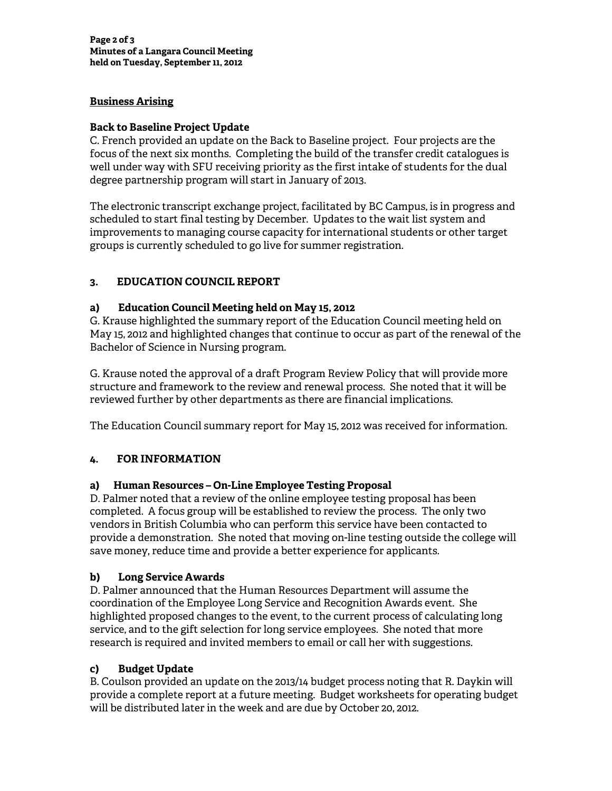## **Business Arising**

### **Back to Baseline Project Update**

C. French provided an update on the Back to Baseline project. Four projects are the focus of the next six months. Completing the build of the transfer credit catalogues is well under way with SFU receiving priority as the first intake of students for the dual degree partnership program will start in January of 2013.

The electronic transcript exchange project, facilitated by BC Campus, is in progress and scheduled to start final testing by December. Updates to the wait list system and improvements to managing course capacity for international students or other target groups is currently scheduled to go live for summer registration.

# **3. EDUCATION COUNCIL REPORT**

## **a) Education Council Meeting held on May 15, 2012**

G. Krause highlighted the summary report of the Education Council meeting held on May 15, 2012 and highlighted changes that continue to occur as part of the renewal of the Bachelor of Science in Nursing program.

G. Krause noted the approval of a draft Program Review Policy that will provide more structure and framework to the review and renewal process. She noted that it will be reviewed further by other departments as there are financial implications.

The Education Council summary report for May 15, 2012 was received for information.

# **4. FOR INFORMATION**

# **a) Human Resources – On-Line Employee Testing Proposal**

D. Palmer noted that a review of the online employee testing proposal has been completed. A focus group will be established to review the process. The only two vendors in British Columbia who can perform this service have been contacted to provide a demonstration. She noted that moving on-line testing outside the college will save money, reduce time and provide a better experience for applicants.

# **b) Long Service Awards**

D. Palmer announced that the Human Resources Department will assume the coordination of the Employee Long Service and Recognition Awards event. She highlighted proposed changes to the event, to the current process of calculating long service, and to the gift selection for long service employees. She noted that more research is required and invited members to email or call her with suggestions.

# **c) Budget Update**

B. Coulson provided an update on the 2013/14 budget process noting that R. Daykin will provide a complete report at a future meeting. Budget worksheets for operating budget will be distributed later in the week and are due by October 20, 2012.